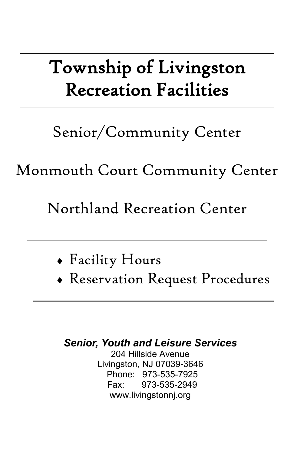# Township of Livingston Recreation Facilities

Senior/Community Center

Monmouth Court Community Center

Northland Recreation Center

- Facility Hours
- Reservation Request Procedures

*Senior, Youth and Leisure Services*

204 Hillside Avenue Livingston, NJ 07039-3646 Phone: 973-535-7925 Fax: 973-535-2949 www.livingstonnj.org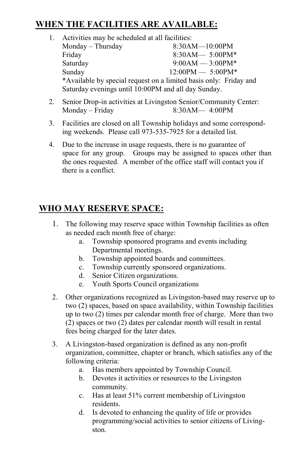# **WHEN THE FACILITIES ARE AVAILABLE:**

- 1. Activities may be scheduled at all facilities: Monday – Thursday 8:30AM—10:00PM Friday 8:30AM— 5:00PM\* Saturday 9:00AM — 3:00PM\* Sunday 12:00PM — 5:00PM\* \*Available by special request on a limited basis only: Friday and Saturday evenings until 10:00PM and all day Sunday.
- 2. Senior Drop-in activities at Livingston Senior/Community Center: Monday – Friday 8:30AM— 4:00PM
- 3. Facilities are closed on all Township holidays and some corresponding weekends. Please call 973-535-7925 for a detailed list.
- 4. Due to the increase in usage requests, there is no guarantee of space for any group. Groups may be assigned to spaces other than the ones requested. A member of the office staff will contact you if there is a conflict.

## **WHO MAY RESERVE SPACE:**

- 1. The following may reserve space within Township facilities as often as needed each month free of charge:
	- a. Township sponsored programs and events including Departmental meetings.
	- b. Township appointed boards and committees.
	- c. Township currently sponsored organizations.
	- d. Senior Citizen organizations.
	- e. Youth Sports Council organizations
- 2. Other organizations recognized as Livingston-based may reserve up to two (2) spaces, based on space availability, within Township facilities up to two (2) times per calendar month free of charge. More than two (2) spaces or two (2) dates per calendar month will result in rental fees being charged for the later dates.
- 3. A Livingston-based organization is defined as any non-profit organization, committee, chapter or branch, which satisfies any of the following criteria:
	- a. Has members appointed by Township Council.
	- b. Devotes it activities or resources to the Livingston community.
	- c. Has at least 51% current membership of Livingston residents.
	- d. Is devoted to enhancing the quality of life or provides programming/social activities to senior citizens of Livingston.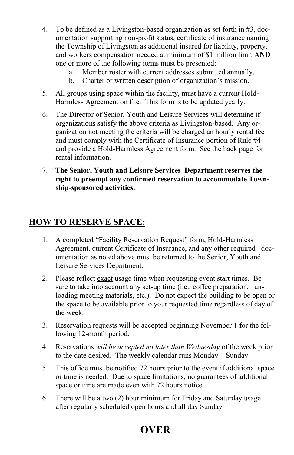- 4. To be defined as a Livingston-based organization as set forth in #3, documentation supporting non-profit status, certificate of insurance naming the Township of Livingston as additional insured for liability, property, and workers compensation needed at minimum of \$1 million limit **AND** one or more of the following items must be presented:
	- a. Member roster with current addresses submitted annually.
	- b. Charter or written description of organization's mission.
- 5. All groups using space within the facility, must have a current Hold-Harmless Agreement on file. This form is to be updated yearly.
- 6. The Director of Senior, Youth and Leisure Services will determine if organizations satisfy the above criteria as Livingston-based. Any organization not meeting the criteria will be charged an hourly rental fee and must comply with the Certificate of Insurance portion of Rule #4 and provide a Hold-Harmless Agreement form. See the back page for rental information.
- 7. **The Senior, Youth and Leisure Services Department reserves the right to preempt any confirmed reservation to accommodate Township-sponsored activities.**

#### **HOW TO RESERVE SPACE:**

- 1. A completed "Facility Reservation Request" form, Hold-Harmless Agreement, current Certificate of Insurance, and any other required documentation as noted above must be returned to the Senior, Youth and Leisure Services Department.
- 2. Please reflect exact usage time when requesting event start times. Be sure to take into account any set-up time (i.e., coffee preparation, unloading meeting materials, etc.). Do not expect the building to be open or the space to be available prior to your requested time regardless of day of the week.
- 3. Reservation requests will be accepted beginning November 1 for the following 12-month period.
- 4. Reservations *will be accepted no later than Wednesday* of the week prior to the date desired. The weekly calendar runs Monday—Sunday.
- 5. This office must be notified 72 hours prior to the event if additional space or time is needed. Due to space limitations, no guarantees of additional space or time are made even with 72 hours notice.
- 6. There will be a two (2) hour minimum for Friday and Saturday usage after regularly scheduled open hours and all day Sunday.

# **OVER**